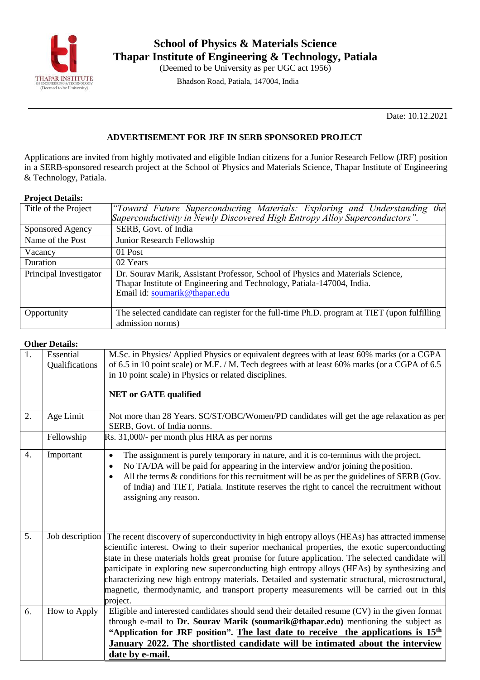

Bhadson Road, Patiala, 147004, India

Date: 10.12.2021

### **ADVERTISEMENT FOR JRF IN SERB SPONSORED PROJECT**

Applications are invited from highly motivated and eligible Indian citizens for a Junior Research Fellow (JRF) position in a SERB-sponsored research project at the School of Physics and Materials Science, Thapar Institute of Engineering & Technology, Patiala.

### **Project Details:**

| Title of the Project   | "Toward Future Superconducting Materials: Exploring and Understanding the<br>Superconductivity in Newly Discovered High Entropy Alloy Superconductors".                                    |  |  |  |  |
|------------------------|--------------------------------------------------------------------------------------------------------------------------------------------------------------------------------------------|--|--|--|--|
| Sponsored Agency       | SERB, Govt. of India                                                                                                                                                                       |  |  |  |  |
| Name of the Post       | Junior Research Fellowship                                                                                                                                                                 |  |  |  |  |
| Vacancy                | 01 Post                                                                                                                                                                                    |  |  |  |  |
| Duration               | 02 Years                                                                                                                                                                                   |  |  |  |  |
| Principal Investigator | Dr. Sourav Marik, Assistant Professor, School of Physics and Materials Science,<br>Thapar Institute of Engineering and Technology, Patiala-147004, India.<br>Email id: soumarik@thapar.edu |  |  |  |  |
| Opportunity            | The selected candidate can register for the full-time Ph.D. program at TIET (upon fulfilling<br>admission norms)                                                                           |  |  |  |  |

### **Other Details:**

| 1. | Essential<br>Qualifications | M.Sc. in Physics/Applied Physics or equivalent degrees with at least 60% marks (or a CGPA<br>of 6.5 in 10 point scale) or M.E. / M. Tech degrees with at least 60% marks (or a CGPA of 6.5<br>in 10 point scale) in Physics or related disciplines.<br><b>NET or GATE qualified</b>                                                                                                                                                                                                                                                                                                                                           |
|----|-----------------------------|-------------------------------------------------------------------------------------------------------------------------------------------------------------------------------------------------------------------------------------------------------------------------------------------------------------------------------------------------------------------------------------------------------------------------------------------------------------------------------------------------------------------------------------------------------------------------------------------------------------------------------|
| 2. | Age Limit                   | Not more than 28 Years. SC/ST/OBC/Women/PD candidates will get the age relaxation as per<br>SERB, Govt. of India norms.                                                                                                                                                                                                                                                                                                                                                                                                                                                                                                       |
|    | Fellowship                  | Rs. 31,000/- per month plus HRA as per norms                                                                                                                                                                                                                                                                                                                                                                                                                                                                                                                                                                                  |
| 4. | Important                   | The assignment is purely temporary in nature, and it is co-terminus with the project.<br>$\bullet$<br>No TA/DA will be paid for appearing in the interview and/or joining the position.<br>٠<br>All the terms & conditions for this recruitment will be as per the guidelines of SERB (Gov.<br>of India) and TIET, Patiala. Institute reserves the right to cancel the recruitment without<br>assigning any reason.                                                                                                                                                                                                           |
| 5. |                             | Job description The recent discovery of superconductivity in high entropy alloys (HEAs) has attracted immense<br>scientific interest. Owing to their superior mechanical properties, the exotic superconducting<br>state in these materials holds great promise for future application. The selected candidate will<br>participate in exploring new superconducting high entropy alloys (HEAs) by synthesizing and<br>characterizing new high entropy materials. Detailed and systematic structural, microstructural,<br>magnetic, thermodynamic, and transport property measurements will be carried out in this<br>project. |
| 6. | How to Apply                | Eligible and interested candidates should send their detailed resume (CV) in the given format<br>through e-mail to Dr. Sourav Marik (soumarik@thapar.edu) mentioning the subject as<br>"Application for JRF position". The last date to receive the applications is 15 <sup>th</sup><br>January 2022. The shortlisted candidate will be intimated about the interview<br>date by e-mail.                                                                                                                                                                                                                                      |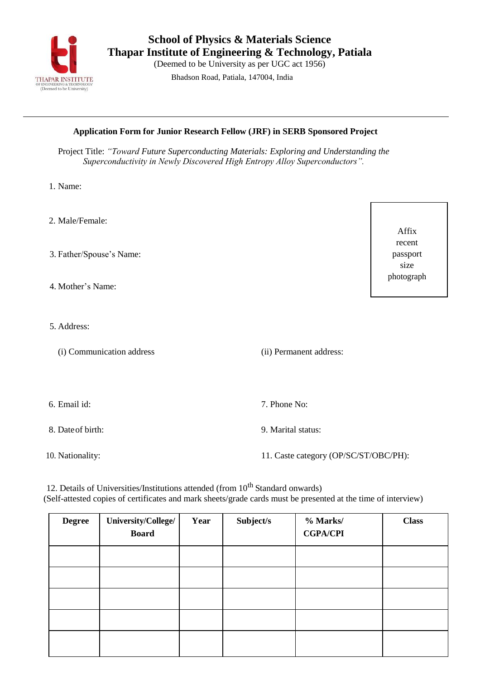

**School of Physics & Materials Science Thapar Institute of Engineering & Technology, Patiala**

(Deemed to be University as per UGC act 1956)

Bhadson Road, Patiala, 147004, India

### **Application Form for Junior Research Fellow (JRF) in SERB Sponsored Project**

Project Title: *"Toward Future Superconducting Materials: Exploring and Understanding the Superconductivity in Newly Discovered High Entropy Alloy Superconductors".*

- 1. Name:
- 2. Male/Female:
- 3. Father/Spouse's Name:
- 4. Mother's Name:
- 5. Address:
	- (i) Communication address (ii) Permanent address:

6. Email id: 7. Phone No:

8. Dateof birth: 9. Marital status:

10. Nationality: 11. Caste category (OP/SC/ST/OBC/PH):

12. Details of Universities/Institutions attended (from  $10^{th}$  Standard onwards) (Self-attested copies of certificates and mark sheets/grade cards must be presented at the time of interview)

| <b>Degree</b> | University/College/<br><b>Board</b> | Year | Subject/s | % Marks/<br><b>CGPA/CPI</b> | <b>Class</b> |
|---------------|-------------------------------------|------|-----------|-----------------------------|--------------|
|               |                                     |      |           |                             |              |
|               |                                     |      |           |                             |              |
|               |                                     |      |           |                             |              |
|               |                                     |      |           |                             |              |
|               |                                     |      |           |                             |              |

Affix recent passport size photograph